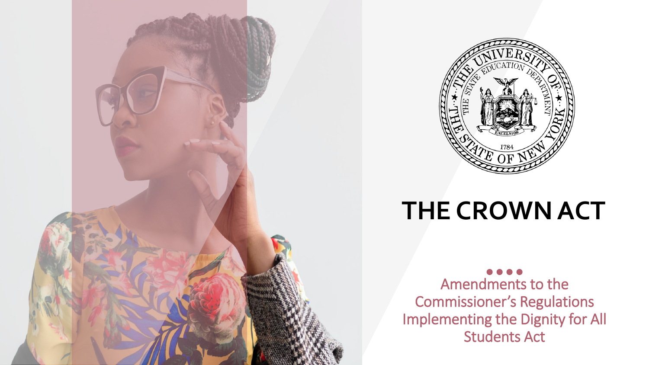

## **THE CROWN ACT**

Amendments to the Commissioner's Regulations Implementing the Dignity for All Students Act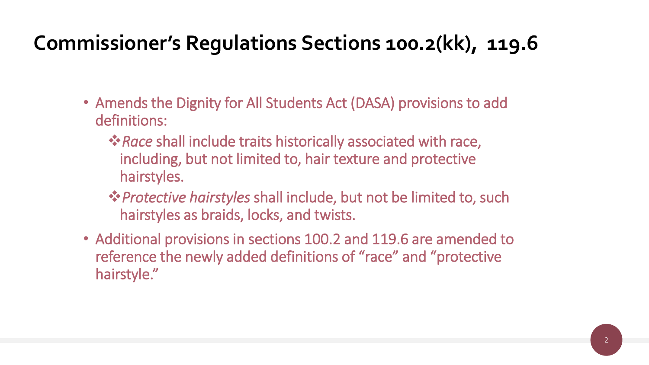## **Commissioner's Regulations Sections 100.2(kk), 119.6**

- Amends the Dignity for All Students Act (DASA) provisions to add definitions:
	- ❖*Race* shall include traits historically associated with race, including, but not limited to, hair texture and protective hairstyles.
	- ❖*Protective hairstyles* shall include, but not be limited to, such hairstyles as braids, locks, and twists.
- Additional provisions in sections 100.2 and 119.6 are amended to reference the newly added definitions of "race" and "protective hairstyle."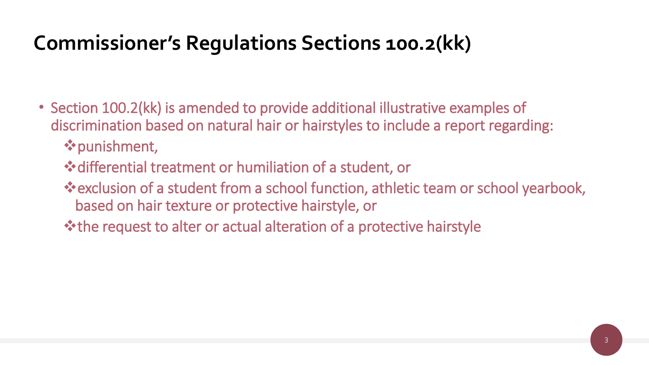## **Commissioner's Regulations Sections 100.2(kk)**

- Section 100.2(kk) is amended to provide additional illustrative examples of discrimination based on natural hair or hairstyles to include a report regarding: ❖punishment,
	- ❖differential treatment or humiliation of a student, or
	- ❖exclusion of a student from a school function, athletic team or school yearbook, based on hair texture or protective hairstyle, or
	- ❖the request to alter or actual alteration of a protective hairstyle